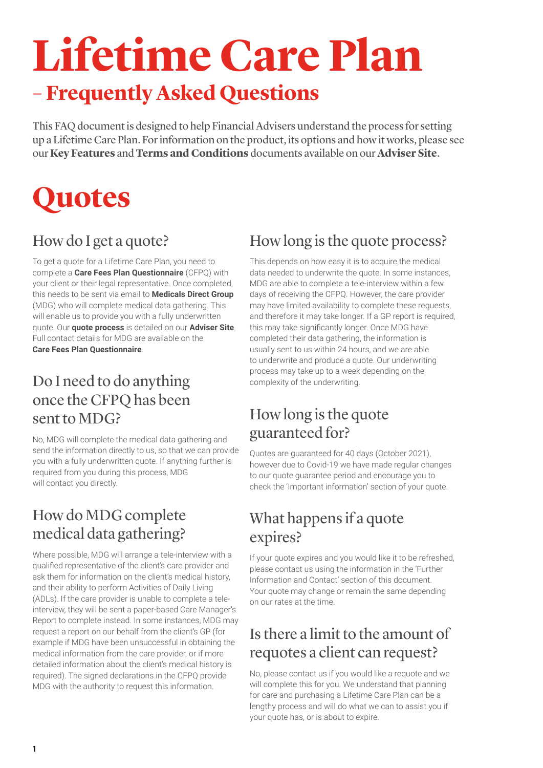# **Lifetime Care Plan – Frequently Asked Questions**

This FAQ document is designed to help Financial Advisers understand the process for setting up a Lifetime Care Plan. For information on the product, its options and how it works, please see our **[Key Features](https://www.legalandgeneral.com/landg-assets/adviser/retirement/literature-and-forms/key-features/Q0057792.pdf)** and **[Terms and Conditions](https://www.legalandgeneral.com/landg-assets/adviser/retirement/literature-and-forms/terms-and-conditions/Q0057859.pdf)** documents available on our **[Adviser Site](https://www.legalandgeneral.com/adviser/retirement/care/lifetime-care-plan/)**.

### **Quotes**

### How do I get a quote?

To get a quote for a Lifetime Care Plan, you need to complete a **[Care Fees Plan Questionnaire](https://www.legalandgeneral.com/landg-assets/adviser/retirement/literature-and-forms/underwriting-forms/carefeesplanquestionnaire.pdf)** (CFPQ) with your client or their legal representative. Once completed, this needs to be sent via email to **[Medicals Direct Group](https://mail.google.com/mail/u/0/?fs=1&tf=cm&source=mailto&to=icp@medicalsdirectgroup.co.uk)** (MDG) who will complete medical data gathering. This will enable us to provide you with a fully underwritten quote. Our **[quote process](https://www.legalandgeneral.com/adviser/retirement/care/getting-a-quote/)** is detailed on our **[Adviser Site](https://www.legalandgeneral.com/adviser/retirement/care/lifetime-care-plan/)**. Full contact details for MDG are available on the **[Care Fees Plan Questionnaire](https://www.legalandgeneral.com/landg-assets/adviser/retirement/literature-and-forms/underwriting-forms/carefeesplanquestionnaire.pdf)**.

#### Do I need to do anything once the CFPQ has been sent to MDG?

No, MDG will complete the medical data gathering and send the information directly to us, so that we can provide you with a fully underwritten quote. If anything further is required from you during this process, MDG will contact you directly.

#### How do MDG complete medical data gathering?

Where possible, MDG will arrange a tele-interview with a qualified representative of the client's care provider and ask them for information on the client's medical history, and their ability to perform Activities of Daily Living (ADLs). If the care provider is unable to complete a teleinterview, they will be sent a paper-based Care Manager's Report to complete instead. In some instances, MDG may request a report on our behalf from the client's GP (for example if MDG have been unsuccessful in obtaining the medical information from the care provider, or if more detailed information about the client's medical history is required). The signed declarations in the CFPQ provide MDG with the authority to request this information.

#### How long is the quote process?

This depends on how easy it is to acquire the medical data needed to underwrite the quote. In some instances, MDG are able to complete a tele-interview within a few days of receiving the CFPQ. However, the care provider may have limited availability to complete these requests, and therefore it may take longer. If a GP report is required, this may take significantly longer. Once MDG have completed their data gathering, the information is usually sent to us within 24 hours, and we are able to underwrite and produce a quote. Our underwriting process may take up to a week depending on the complexity of the underwriting.

#### How long is the quote guaranteed for?

Quotes are guaranteed for 40 days (October 2021), however due to Covid-19 we have made regular changes to our quote guarantee period and encourage you to check the 'Important information' section of your quote.

#### What happens if a quote expires?

If your quote expires and you would like it to be refreshed, please contact us using the information in the 'Further Information and Contact' section of this document. Your quote may change or remain the same depending on our rates at the time.

#### Is there a limit to the amount of requotes a client can request?

No, please contact us if you would like a requote and we will complete this for you. We understand that planning for care and purchasing a Lifetime Care Plan can be a lengthy process and will do what we can to assist you if your quote has, or is about to expire.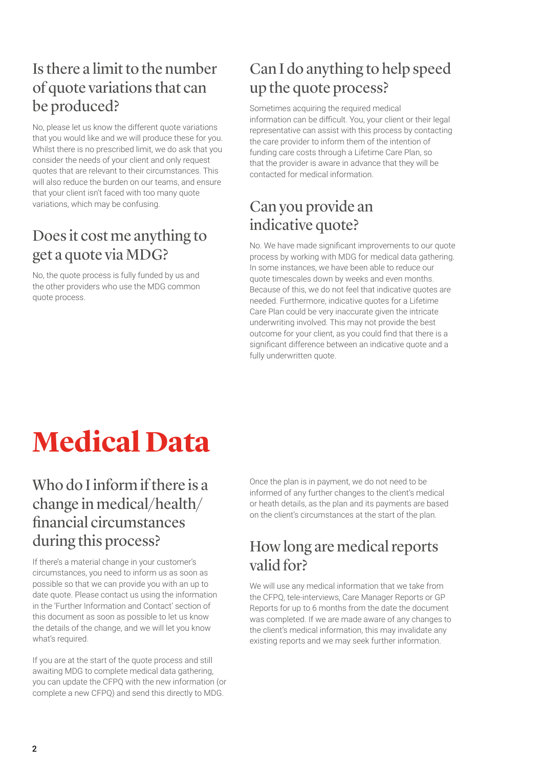#### Is there a limit to the number of quote variations that can be produced?

No, please let us know the different quote variations that you would like and we will produce these for you. Whilst there is no prescribed limit, we do ask that you consider the needs of your client and only request quotes that are relevant to their circumstances. This will also reduce the burden on our teams, and ensure that your client isn't faced with too many quote variations, which may be confusing.

#### Does it cost me anything to get a quote via MDG?

No, the quote process is fully funded by us and the other providers who use the MDG common quote process.

#### Can I do anything to help speed up the quote process?

Sometimes acquiring the required medical information can be difficult. You, your client or their legal representative can assist with this process by contacting the care provider to inform them of the intention of funding care costs through a Lifetime Care Plan, so that the provider is aware in advance that they will be contacted for medical information.

#### Can you provide an indicative quote?

No. We have made significant improvements to our quote process by working with MDG for medical data gathering. In some instances, we have been able to reduce our quote timescales down by weeks and even months. Because of this, we do not feel that indicative quotes are needed. Furthermore, indicative quotes for a Lifetime Care Plan could be very inaccurate given the intricate underwriting involved. This may not provide the best outcome for your client, as you could find that there is a significant difference between an indicative quote and a fully underwritten quote.

## **Medical Data**

#### Who do I inform if there is a change in medical/health/ financial circumstances during this process?

If there's a material change in your customer's circumstances, you need to inform us as soon as possible so that we can provide you with an up to date quote. Please contact us using the information in the 'Further Information and Contact' section of this document as soon as possible to let us know the details of the change, and we will let you know what's required.

If you are at the start of the quote process and still awaiting MDG to complete medical data gathering, you can update the CFPQ with the new information (or complete a new CFPQ) and send this directly to MDG.

Once the plan is in payment, we do not need to be informed of any further changes to the client's medical or heath details, as the plan and its payments are based on the client's circumstances at the start of the plan.

#### How long are medical reports valid for?

We will use any medical information that we take from the CFPQ, tele-interviews, Care Manager Reports or GP Reports for up to 6 months from the date the document was completed. If we are made aware of any changes to the client's medical information, this may invalidate any existing reports and we may seek further information.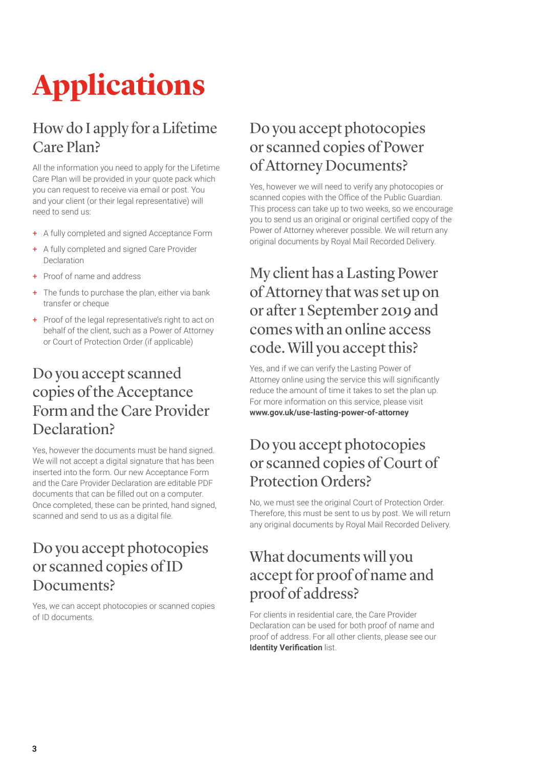# **Applications**

#### How do I apply for a Lifetime Care Plan?

All the information you need to apply for the Lifetime Care Plan will be provided in your quote pack which you can request to receive via email or post. You and your client (or their legal representative) will need to send us:

- + A fully completed and signed Acceptance Form
- + A fully completed and signed Care Provider Declaration
- + Proof of name and address
- + The funds to purchase the plan, either via bank transfer or cheque
- + Proof of the legal representative's right to act on behalf of the client, such as a Power of Attorney or Court of Protection Order (if applicable)

#### Do you accept scanned copies of the Acceptance Form and the Care Provider Declaration?

Yes, however the documents must be hand signed. We will not accept a digital signature that has been inserted into the form. Our new Acceptance Form and the Care Provider Declaration are editable PDF documents that can be filled out on a computer. Once completed, these can be printed, hand signed, scanned and send to us as a digital file.

#### Do you accept photocopies or scanned copies of ID Documents?

Yes, we can accept photocopies or scanned copies of ID documents.

#### Do you accept photocopies or scanned copies of Power of Attorney Documents?

Yes, however we will need to verify any photocopies or scanned copies with the Office of the Public Guardian. This process can take up to two weeks, so we encourage you to send us an original or original certified copy of the Power of Attorney wherever possible. We will return any original documents by Royal Mail Recorded Delivery.

#### My client has a Lasting Power of Attorney that was set up on or after 1 September 2019 and comes with an online access code. Will you accept this?

Yes, and if we can verify the Lasting Power of Attorney online using the service this will significantly reduce the amount of time it takes to set the plan up. For more information on this service, please visit **[www.gov.uk/use-lasting-power-of-attorney](http://www.gov.uk/use-lasting-power-of-attorney)**

#### Do you accept photocopies or scanned copies of Court of Protection Orders?

No, we must see the original Court of Protection Order. Therefore, this must be sent to us by post. We will return any original documents by Royal Mail Recorded Delivery.

#### What documents will you accept for proof of name and proof of address?

For clients in residential care, the Care Provider Declaration can be used for both proof of name and proof of address. For all other clients, please see our **[Identity Verification](https://www.legalandgeneral.com/landg-assets/personal/retirement/_resources/documents/your-retirement-income/flyers/da243.pdf)** list.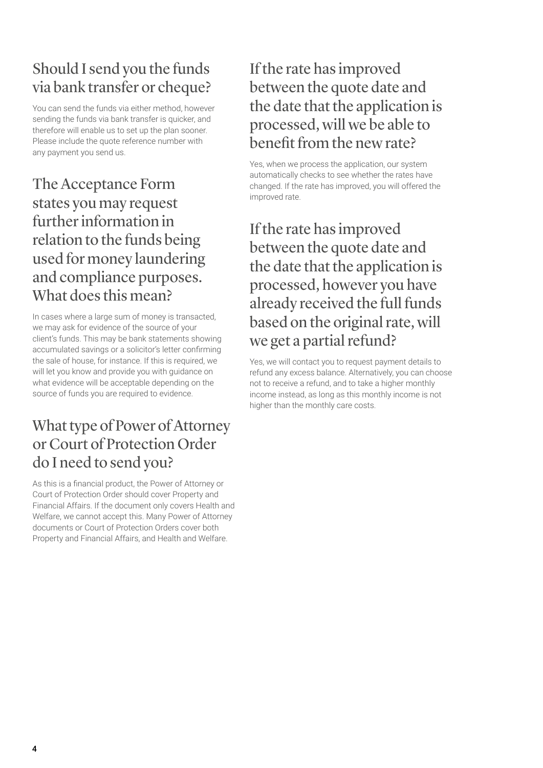#### Should I send you the funds via bank transfer or cheque?

You can send the funds via either method, however sending the funds via bank transfer is quicker, and therefore will enable us to set up the plan sooner. Please include the quote reference number with any payment you send us.

The Acceptance Form states you may request further information in relation to the funds being used for money laundering and compliance purposes. What does this mean?

In cases where a large sum of money is transacted, we may ask for evidence of the source of your client's funds. This may be bank statements showing accumulated savings or a solicitor's letter confirming the sale of house, for instance. If this is required, we will let you know and provide you with guidance on what evidence will be acceptable depending on the source of funds you are required to evidence.

#### What type of Power of Attorney or Court of Protection Order do I need to send you?

As this is a financial product, the Power of Attorney or Court of Protection Order should cover Property and Financial Affairs. If the document only covers Health and Welfare, we cannot accept this. Many Power of Attorney documents or Court of Protection Orders cover both Property and Financial Affairs, and Health and Welfare.

#### If the rate has improved between the quote date and the date that the application is processed, will we be able to benefit from the new rate?

Yes, when we process the application, our system automatically checks to see whether the rates have changed. If the rate has improved, you will offered the improved rate.

If the rate has improved between the quote date and the date that the application is processed, however you have already received the full funds based on the original rate, will we get a partial refund?

Yes, we will contact you to request payment details to refund any excess balance. Alternatively, you can choose not to receive a refund, and to take a higher monthly income instead, as long as this monthly income is not higher than the monthly care costs.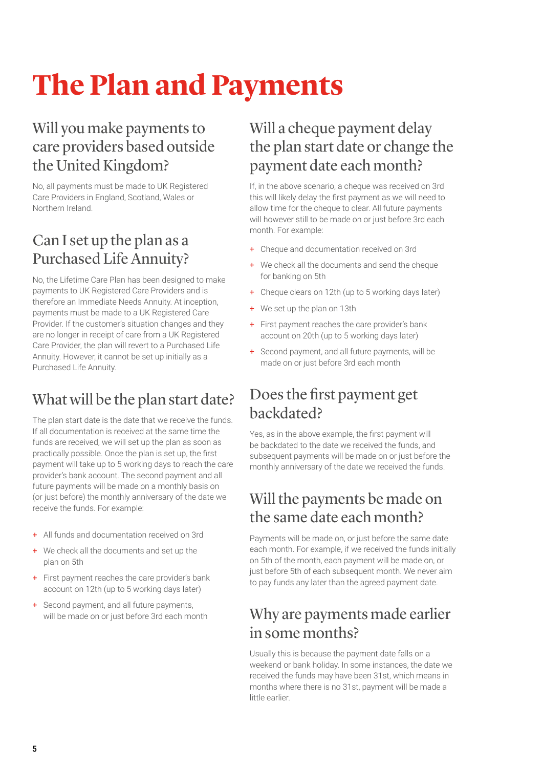### **The Plan and Payments**

#### Will you make payments to care providers based outside the United Kingdom?

No, all payments must be made to UK Registered Care Providers in England, Scotland, Wales or Northern Ireland.

#### Can I set up the plan as a Purchased Life Annuity?

No, the Lifetime Care Plan has been designed to make payments to UK Registered Care Providers and is therefore an Immediate Needs Annuity. At inception, payments must be made to a UK Registered Care Provider. If the customer's situation changes and they are no longer in receipt of care from a UK Registered Care Provider, the plan will revert to a Purchased Life Annuity. However, it cannot be set up initially as a Purchased Life Annuity.

### What will be the plan start date?

The plan start date is the date that we receive the funds. If all documentation is received at the same time the funds are received, we will set up the plan as soon as practically possible. Once the plan is set up, the first payment will take up to 5 working days to reach the care provider's bank account. The second payment and all future payments will be made on a monthly basis on (or just before) the monthly anniversary of the date we receive the funds. For example:

- + All funds and documentation received on 3rd
- + We check all the documents and set up the plan on 5th
- + First payment reaches the care provider's bank account on 12th (up to 5 working days later)
- + Second payment, and all future payments, will be made on or just before 3rd each month

#### Will a cheque payment delay the plan start date or change the payment date each month?

If, in the above scenario, a cheque was received on 3rd this will likely delay the first payment as we will need to allow time for the cheque to clear. All future payments will however still to be made on or just before 3rd each month. For example:

- + Cheque and documentation received on 3rd
- + We check all the documents and send the cheque for banking on 5th
- + Cheque clears on 12th (up to 5 working days later)
- + We set up the plan on 13th
- + First payment reaches the care provider's bank account on 20th (up to 5 working days later)
- + Second payment, and all future payments, will be made on or just before 3rd each month

#### Does the first payment get backdated?

Yes, as in the above example, the first payment will be backdated to the date we received the funds, and subsequent payments will be made on or just before the monthly anniversary of the date we received the funds.

#### Will the payments be made on the same date each month?

Payments will be made on, or just before the same date each month. For example, if we received the funds initially on 5th of the month, each payment will be made on, or just before 5th of each subsequent month. We never aim to pay funds any later than the agreed payment date.

#### Why are payments made earlier in some months?

Usually this is because the payment date falls on a weekend or bank holiday. In some instances, the date we received the funds may have been 31st, which means in months where there is no 31st, payment will be made a little earlier.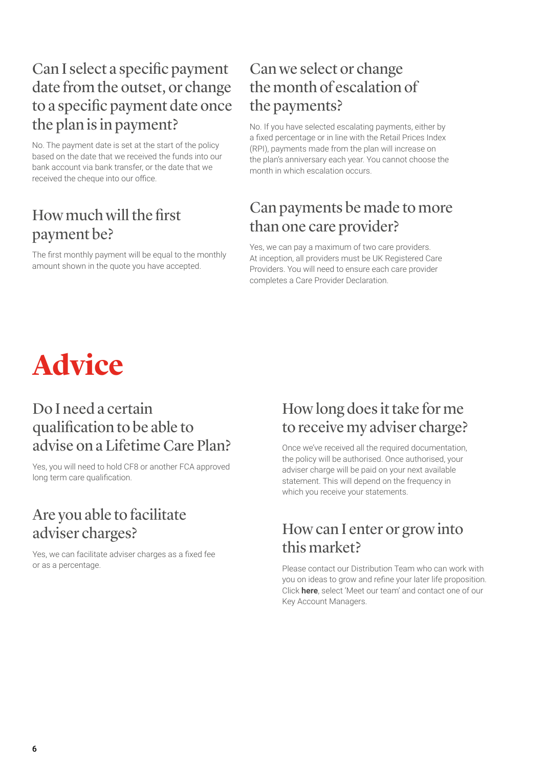#### Can I select a specific payment date from the outset, or change to a specific payment date once the plan is in payment?

No. The payment date is set at the start of the policy based on the date that we received the funds into our bank account via bank transfer, or the date that we received the cheque into our office.

#### How much will the first payment be?

The first monthly payment will be equal to the monthly amount shown in the quote you have accepted.

#### Can we select or change the month of escalation of the payments?

No. If you have selected escalating payments, either by a fixed percentage or in line with the Retail Prices Index (RPI), payments made from the plan will increase on the plan's anniversary each year. You cannot choose the month in which escalation occurs.

#### Can payments be made to more than one care provider?

Yes, we can pay a maximum of two care providers. At inception, all providers must be UK Registered Care Providers. You will need to ensure each care provider completes a Care Provider Declaration.



#### Do I need a certain qualification to be able to advise on a Lifetime Care Plan?

Yes, you will need to hold CF8 or another FCA approved long term care qualification.

#### Are you able to facilitate adviser charges?

Yes, we can facilitate adviser charges as a fixed fee or as a percentage.

#### How long does it take for me to receive my adviser charge?

Once we've received all the required documentation, the policy will be authorised. Once authorised, your adviser charge will be paid on your next available statement. This will depend on the frequency in which you receive your statements.

#### How can I enter or grow into this market?

Please contact our Distribution Team who can work with you on ideas to grow and refine your later life proposition. Click **[here](https://www.legalandgeneral.com/adviser/retirement/contact-us/retirement-income/)**, select 'Meet our team' and contact one of our Key Account Managers.